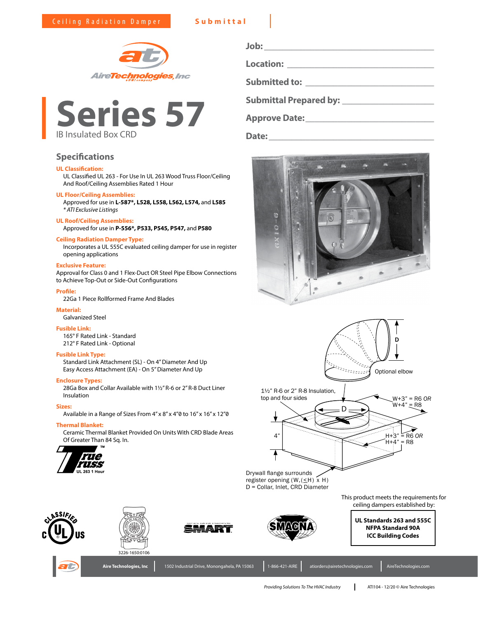



# **Specifications**

# **UL Classification:**

UL Classified UL 263 - For Use In UL 263 Wood Truss Floor/Ceiling And Roof/Ceiling Assemblies Rated 1 Hour

# **UL Floor/Ceiling Assemblies:**

Approved for use in **L-587\*, L528, L558, L562, L574,** and **L585** *\* ATI Exclusive Listings*

#### **UL Roof/Ceiling Assemblies:**

Approved for use in **P-556\*, P533, P545, P547,** and **P580**

# **Ceiling Radiation Damper Type:**

Incorporates a UL 555C evaluated ceiling damper for use in register opening applications

# **Exclusive Feature:**

Approval for Class 0 and 1 Flex-Duct OR Steel Pipe Elbow Connections to Achieve Top-Out or Side-Out Configurations

#### **Profile:**

22Ga 1 Piece Rollformed Frame And Blades

#### **Material:**

Galvanized Steel

# **Fusible Link:**

165° F Rated Link - Standard 212° F Rated Link - Optional

# **Fusible Link Type:**

Standard Link Attachment (SL) - On 4" Diameter And Up Easy Access Attachment (EA) - On 5" Diameter And Up

#### **Enclosure Types:**

28Ga Box and Collar Available with 1½" R-6 or 2" R-8 Duct Liner Insulation

## **Sizes:**

Available in a Range of Sizes From 4" x 8" x 4"0 to 16" x 16" x 12"0

# **Thermal Blanket:**

Ceramic Thermal Blanket Provided On Units With CRD Blade Areas Of Greater Than 84 Sq. In. 4" H+3" = R6 *OR*<br>Of Greater Than 84 Sq. In. 4" H+4" = R6 *OR* 



| Job:                                                             |
|------------------------------------------------------------------|
| <b>Location:</b><br>the control of the control of the control of |
| <b>Submitted to:</b>                                             |
| <b>Submittal Prepared by:</b>                                    |

**Approve Date:\_\_\_\_\_\_\_\_\_\_\_\_\_\_\_\_\_\_\_\_\_\_\_\_\_\_\_\_**

**Date:\_\_\_\_\_\_\_\_\_\_\_\_\_\_\_\_\_\_\_\_\_\_\_\_\_\_\_\_\_\_\_\_\_\_\_\_**





This product meets the requirements for ceiling dampers established by:

ASSIFI







**UL Standards 263 and 555C NFPA Standard 90A ICC Building Codes**



Aire Technologies, Inc 1502 Industrial Drive, Monongahela, PA 15063 1-866-421-AIRE atiorders@airetechnologies.com AireTechnologies.com

*Providing Solutions To The HVAC Industry* ATI104 - 12/20 © Aire Technologies